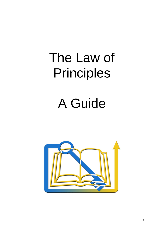# The Law of Principles

# A Guide

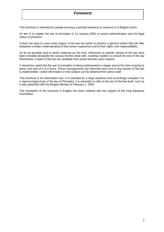# **Foreword**

This brochure is intended for people serving a custodial sentence or measure in a Belgian prison.

Its aim is to explain the law of principles of 12 January 2005 on prison administration and the legal status of prisoners.

It does not seek to cover every aspect of the law but rather to present a general outline that will offer detainees a better understanding of their prison experience and of their rights and responsibilities.

As far as possible (and to avoid cluttering up the text), references to specific articles of the law have been included alongside the various themes dealt with, enabling readers to consult the text of the law themselves. Copies of the text are available from prison libraries upon request.

It should be noted that the law of principles is being implemented in stages and at the time of going to press only part of it is in force. Prison managements are informed each time a new section of the law is implemented. Useful information on this subject can be obtained from prison staff.

This brochure is for information only. It is intended for a large audience and accordingly compiled. For a rigorous legal study of the law of Principles, it is advisable to refer to the text of the law itself, such as it was published with the Belgian Monitor of February 1, 2005.

The translation of the brochure in English has been realised with the support of the King Baudouin Foundation.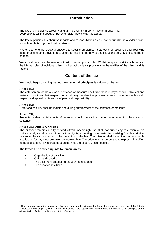# **Introduction**

The law of principles<sup>1</sup> is a reality, and an increasingly important factor in prison life. Everybody is talking about it - but who really knows what it is about?

The law of principles is about your rights and responsibilities as a prisoner but also, in a wider sense, about how life is organised inside prisons.

Rather than offering practical answers to specific problems, it sets out theoretical rules for resolving these problems and provides a structure for tackling the day-to-day situations actually encountered in prisons.

We should note here the relationship with internal prison rules. Whilst complying strictly with the law, the internal rules of individual prisons will adapt the law's provisions to the realities of the prison and its regime.

# **Content of the law**

We should begin by noting the **four fundamental principles** laid down by the law:

# **Article 5(1)**

The enforcement of the custodial sentence or measure shall take place in psychosocial, physical and material conditions that respect human dignity, enable the prisoner to retain or enhance his selfrespect and appeal to his sense of personal responsibility.

# **Article 5(2)**

Order and security shall be maintained during enforcement of the sentence or measure.

# **Article 692)**

Preventable detrimental effects of detention should be avoided during enforcement of the custodial sentence.

# **Article 6(1), Article 7, Article 8**

The prisoner remains a fully-fledged citizen. Accordingly, he shall not suffer any restriction of his political, civil, social, economic or cultural rights, excepting those restrictions arising from his criminal sentence, the circumstances of his detention or the law. The prisoner shall be entitled to reasonable justification for any measure taken concerning him. The prisoner shall be entitled to express himself on matters of community interest through the medium of consultation bodies.

# **The law can be divided up into four main areas:**

- $\triangleright$  Organisation of daily life
- > Order and security
- $\ge$  The 3 Rs: rehabilitation, reparation, reintegration<br>  $\ge$  The prisoner as citizen
- The prisoner as citizen

<sup>1</sup> <sup>1</sup> The law of principles (*Loi de principes/Basiswet*) is often referred to as the Dupont Law, after the professsor at the Catholic Universtity of Leuven (KUL) whom minister Stefaan De Clerck appointed in 1996 to draft a provisional bill of principles on the administration of prisons and the legal status of prisoners.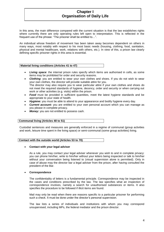# **Chapter I Organisation of Daily Life**

In this area, the main difference compared with the current situation is that the law establishes rights where currently there are only operating rules left open to interpretation. This is reflected in the frequent use of the phrase: "The prisoner shall be entitled to…".

An individual whose freedom of movement has been taken away becomes dependent on others in many ways, most notably with respect to his most basic needs (housing, clothing, food, sanitation, physical and mental healthcare, work, relations with others, etc.). In view of this, a prison law clearly defining specific prisoner rights in this area is essential.

# **Material living conditions (Articles 41 to 47)**

- *Living space*: the internal prison rules specify which items are authorised in cells, as some items may be prohibited for order and security reasons.
- *Clothing*: you are entitled to wear your own clothes and shoes. If you do not wish to wear your own clothes, the director will provide suitable attire for you. The director may also require you to wear particular attire if your own clothes and shoes do not meet the required standards of hygiene, decency, order and security or when carrying out work or other activities (e.g. visits) within the prison.
- **Food** must be provided in sufficient quantities, meet the latest hygiene standards and be appropriate to your state of health.
- *Hygiene:* you must be able to attend to your appearance and bodily hygiene every day.
- **Current account:** you are entitled to your own personal account which you can manage as you please in complete privacy.
- *Money:* you are not entitled to possess cash.

# **Communal living (Articles 48 to 51)**

Custodial sentences and measures are generally enforced in a regime of communal (group activities and work, leisure time spent in the living space) or semi-communal (some group activities) living.

# **Contact with the outside world (Articles 53 to 70)**

# **Contact with your legal adviser**

As a rule, you may contact your legal adviser whenever you wish to and in complete privacy: you can phone him/her, write to him/her without your letters being inspected or talk to him/her without your conversation being listened to (visual supervision alone is permitted). Only in case of abuse may the director bar a legal adviser from the prison, after having consulted the president of the Bar.

# **Correspondence**

The confidentiality of letters is a fundamental principle. Correspondence may be inspected in the cases and conditions prescribed by the law. The law specifies what an inspection of correspondence involves, namely a search for unauthorised substances or items. It also specifies the procedure to be followed if illicit items are found.

Mail may only be read when there are reasons specific to a particular prisoner for performing such a check. It must be done under the director's personal supervision.

The law lists a series of individuals and institutions with whom you may correspond unsupervised, including MPs, the federal mediator and the prison director.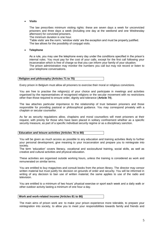# **Visits**

The law prescribes minimum visiting rights: these are seven days a week for unconvicted prisoners and three days a week (including one day at the weekend and one Wednesday afternoon) for convicted prisoners.

The minimum duration is one hour.

'Table visits' are the norm; 'window visits' are the exception and must be properly justified. The law allows for the possibility of conjugal visits.

# **Telephone**

As a rule, you may use the telephone every day under the conditions specified in the prison's internal rules. You must pay for the cost of your calls, except for the first call following your incarceration which is free of charge so that you can inform your family of your situation. The prison administration may monitor the numbers you call but may not record or listen to your telephone conversations.

# **Religion and philosophy (Articles 71 to 75)**

Every prison in Belgium must allow all prisoners to exercise their moral or religious convictions.

You are free to practise the religion(s) of your choice and participate in meetings and activities organised by the representatives of recognised religions or the secular movement with no restrictions other than those required to ensure order, dignity and tolerance (**Article 74**).

The law attaches particular importance to the relationship of trust between prisoners and those responsible for providing pastoral or philosophical guidance. You may correspond privately with a chaplain or secular counsellor.

As far as security regulations allow, chaplains and moral counsellors will meet prisoners at their request, with priority for those who have been placed in solitary confinement whether as a specific security measure, as part of a specific individual security regime or as a disciplinary sanction.

| Education and leisure activities (Articles 76 to 80) |  |
|------------------------------------------------------|--|

You will be given as much access as possible to any education and training activities likely to further your personal development, give meaning to your incarceration and prepare you to reintegrate into society.

The term 'education' covers literacy, vocational and sociocultural training, social skills, as well as creative and cultural activities and physical education.

These activities are organised outside working hours, unless the training is considered as work and remunerated on similar terms.

You are entitled to buy magazines and consult books from the prison library. The director may censor written material but must justify his decision on grounds of order and security. You will be informed in writing of any decision to ban use of written material; the same applies to use of the radio and television.

You are entitled to a minimum of two hours' physical exercise or sport each week and a daily walk or other outdoor activity lasting a minimum of one hour a day.

# **Work and work-related income (Articles 81 to 86)**

The main aims of prison work are: to make your prison experience more tolerable, to prepare your reintegration into society, to allow you to meet your responsibilities towards family and friends and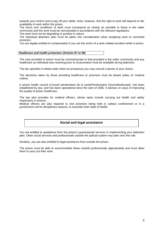towards your victims and to pay off your debts. Note, however, that the right to work will depend on the availability of work within the prison.

The terms and conditions of work must correspond as closely as possible to those in the wider community and the work must be remunerated in accordance with the relevant regulations.

The work must not be degrading or punitive in nature. The individual detention plan must be taken into consideration when assigning work to convicted prisoners.

You are legally entitled to compensation if you are the victim of a work-related accident while in prison.

# **Healthcare and health protection (Articles 87 to 99)**

The care provided in prison must be commensurate to that provided in the wider community and any healthcare an individual was receiving prior to incarceration must be available during detention.

The law specifies in detail under what circumstances you may consult a doctor of your choice.

The decisions taken by those providing healthcare to prisoners must be based solely on medical criteria.

A prison health council (*Conseil pénitentiaire de la santé/Penitentiaire Gezondheidsraad*) has been established by law, and has been operational since the start of 2006. It advises on ways of improving the quality of prison healthcare.

The law also provides for medical officers, whose tasks include carrying out health and safety inspections in prisons.

Medical officers are also required to visit prisoners being held in solitary confinement or in a punishment cell for disciplinary reasons, to ascertain their state of health.

# **Social and legal assistance**

You are entitled to assistance from the prison's psychosocial services in implementing your detention plan. Other social services and professionals outside the judicial system may take over this role.

Similarly, you are also entitled to legal assistance from outside the prison.

The prison must be able to accommodate these outside professionals appropriately and must allow them to carry out their work.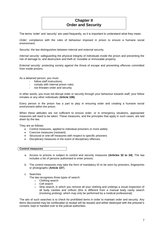# **Chapter II Order and Security**

The terms 'order' and 'security' are used frequently, so it is important to understand what they mean.

*Order*: compliance with the rules of behaviour imposed in prison to ensure a humane social environment.

Security: the law distinguishes between internal and external security.

*Internal security*: safeguarding the physical integrity of individuals inside the prison and preventing the risk of damage to, and destruction and theft of, movable or immovable property.

*External security*: protecting society against the threat of escape and preventing offences committed from inside prisons.

As a detained person, you must:

- follow staff instructions:
- comply with internal prison rules;
- not threaten order and security.

In other words, you must not disrupt order or security through your behaviour towards staff, your fellow inmates or any other individuals (**Article 106)**.

Every person in the prison has a part to play in ensuring order and creating a humane social environment within the prison.

When these attitudes are not sufficient to ensure order, or in emergency situations, appropriate measures will need to be taken. These measures, and the principles that apply in such cases, are laid down by the law.

They are as follows:

- Control measures, applied to individual prisoners or more widely
- Coercive measures (restraint)
- Structural or one-off measures with respect to specific prisoners
- Disciplinary measures in the event of disciplinary offences.

# **Control measures**

- a. Access to prisons is subject to control and security measures **(Articles 32 to 34)**. The law includes a list of persons authorised to enter prisons.
- b. The control measures may take the form of mandatory ID to be worn by prisoners, fingerprints or photographs (**Article 107**).
- c. Searches

The law recognises three types of search:

- o Clothing search
- o Cell search
- o Strip search, in which you remove all your clothing and undergo a visual inspection of all body cavities and orifices (this is different from a manual body cavity search (involving probing), which may only be performed by a medical professional).

The aim of such searches is to check for prohibited items in order to maintain order and security. Any items discovered may be confiscated (a receipt will be issued) and either destroyed with the prisoner's consent, kept or handed over to the judicial authorities.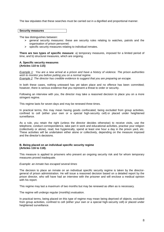The law stipulates that these searches must be carried out in a dignified and proportional manner.

**Security measures**

The law distinguishes between:

- $\geq$  general security measures: these are security rules relating to watches, patrols and the organisation of prison personnel;
- $\triangleright$  specific security measures relating to individual inmates.

**There are two types of specific measure**: a) temporary measures, imposed for a limited period of time, and b) structural measures, which are ongoing.

# **A. Specific security measures (Articles 110 to 115)**

*Example 1: You are a new arrival at a prison and have a history of violence. The prison authorities wish to monitor you before putting you on a normal regime. Example 2: The director has credible evidence to suggest that you are preparing an escape.*

In both these cases, nothing untoward has yet taken place and no offence has been committed; however, there is serious evidence that you represent a threat to order or security.

Following an interview with you, the director may take a reasoned decision to place you on a more stringent regime.

This regime lasts for seven days and may be renewed three times.

In practical terms, this may mean having goods confiscated, being excluded from group activities, confined to cell (either your own or a special high-security cell) or placed under heightened surveillance.

As a rule, you retain the right (unless the director decides otherwise) to receive visits, use the telephone, conduct correspondence, take part in work and educational activities, practise your religion (collectively or alone), read, live hygienically, spend at least one hour a day in the prison yard, etc. These activities will be undertaken either alone or collectively, depending on the measure imposed and the director's decisions.

# **B. Being placed on an individual specific security regime (Articles 116 to 118).**

This measure is applied to prisoners who present an ongoing security risk and for whom temporary measures proved inadequate.

# *Example: an inmate has escaped several times*

The decision to place an inmate on an individual specific security regime is taken by the directorgeneral of prison administration. He will issue a reasoned decision based on a detailed report by the prison director, who will have had an interview with the prisoner and will enclose a medical opinion with his report.

This regime may last a maximum of two months but may be renewed as often as is necessary.

The regime will undergo regular (monthly) evaluation.

In practical terms, being placed on this type of regime may mean being deprived of objects, excluded from group activities, confined to cell (either your own or a special high-security cell) or placed under heightened surveillance.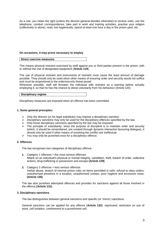As a rule, you retain the right (unless the director-general decides otherwise) to receive visits, use the telephone, conduct correspondence, take part in work and training activities, practise your religion (collectively or alone), read, live hygienically, spend at least one hour a day in the prison yard, etc.

# **On occasions, it may prove necessary to employ**

# **Direct coercive measures**

This means physical restraint exercised by staff against you or third parties present in the prison, with or without the use of designated equipment (**Article 119**).

The use of physical restraint and instruments of restraint must cause the least amount of damage possible. They should only be used when other means of ensuring order and security would not suffice and must be proportional to the order/security threat posed.

Whenever possible, staff will threaten the individual with restraint as a warning before actually employing it, so that he has the chance to desist voluntarily from his behaviour (Article 120).

#### **Disciplinary regime**

Disciplinary measures are imposed when an offence has been committed.

# **1. Some general principles:**

- $\triangleright$  Only the director (or his legal substitute) may impose a disciplinary sanction.
- $\triangleright$  Disciplinary sanctions may only be used for the disciplinary offences specified by the law.
- $\geq$  Only those disciplinary sanctions specified by the law may be imposed.
- $\triangleright$  The principle of subsidiarity: since the purpose of discipline is to maintain order and security (which, it should be remembered, are created through dynamic interaction favouring dialogue), it should only be used if other means of resolving the conflict are ineffectual.
- $\triangleright$  You may only be punished once for a disciplinary offence.

# **2. Offences**

The law recognises two categories of disciplinary offence:

- **1.** Category 1 offences = the most serious offences Attack on an individual's physical or mental integrity, vandalism, theft, breach of order, collective actions, drug trafficking or possession and escape **(Article 129)**
- **2.** Category 2 offences = less serious offences Verbal abuse, breach of internal prison rules on items permitted in cells, refusal to obey orders, unauthorised presence in a location, unauthorised contact, poor hygiene and excessive noise. **(Article 130)**

The law also punishes attempted offences and provides for sanctions against all those involved in the offence **(Article 131)**.

# **3. Disciplinary sanctions**

The law distinguishes between general sanctions and specific (or 'mirror') sanctions.

*General sanctions* can be applied for any offence (**Article 132**): reprimand, restriction on use of store, cell isolation, confinement to a punishment cell.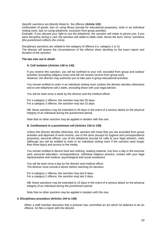*Specific sanctions* are directly linked to the offence (**Article 133**):

confiscation of goods, ban on using library (except for educational purposes), visits in an individual visiting room, ban on using telephone, exclusion from group activities.

*Example: If you abused your right to use the telephone, the sanction will relate to phone use; if you were disruptive during a visit, the sanction will relate to table visits: hence the term 'mirror' sanctions (the punishment reflects the crime).*

Disciplinary sanctions are related to the category of offence (i.e. category 1 or 2). The director will assess the circumstances of the offence when deciding on the exact nature and duration of the sanction.

# **The law sets out in detail:**

# **A. Cell isolation (Articles 140 to 142)**

If you receive this sanction, you will be confined to your cell, excluded from group and outdoor activities (excepting religious ones) and will not receive income from group work. However, the director may authorise you to take part in group educational activities.

You remain entitled to visits in an individual visiting room (unless the director decides otherwise) and to one telephone call a week, excluding those with your legal adviser.

You will be seen once a week by the director and the medical officer.

For a category 1 offence, the sanction may last 30 days. For a category 2 offence, the sanction may last 15 days

NB: these sanctions may be extended to 45 days in the event of a serious attack on the physical integrity of an individual during the punishment period.

Note that no other sanction may be applied in tandem with this one.

# **B. Confinement in a punishment cell (Articles 134 to 139)**

Unless the director decides otherwise, this sanction will mean that you are excluded from group activities and deprived of work income, use of the store (except for hygiene and correspondence purposes), personal effects, use of the telephone (except for calls to your legal adviser), visits (although you will be entitled to visits in an individual visiting room if the sanction lasts longer than three days) and access to the media.

You remain entitled to decent food and clothing, reading material, one hour a day in the exercise yard, personal education, correspondence, individual religious practice, contact with your legal representative and medical, psychological and social assistance.

You will be seen once a day by the director and medical officer. The director must consult a doctor before reaching his decision.

For a category 1 offence, the sanction may last 9 days. For a category 2 offence, the sanction may last 3 days.

NB: these sanctions may be extended to 15 days in the event of a serious attack on the physical integrity of an individual during the punishment period.

Note that no other sanction may be applied in tandem with this one.

# **4. Disciplinary procedure (Articles 144 to 146)**

When a staff member discovers that a prisoner has committed an act which he believes to be an offence, he files a report with the director.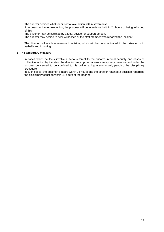The director decides whether or not to take action within seven days**.** 

If he does decide to take action, the prisoner will be interviewed within 24 hours of being informed of this.

The prisoner may be assisted by a legal adviser or support person.

The director may decide to hear witnesses or the staff member who reported the incident.

The director will reach a reasoned decision, which will be communicated to the prisoner both verbally and in writing.

# **5. The temporary measure**

In cases which he feels involve a serious threat to the prison's internal security and cases of collective action by inmates, the director may opt to impose a temporary measure and order the prisoner concerned to be confined to his cell or a high-security cell, pending the disciplinary procedure.

In such cases, the prisoner is heard within 24 hours and the director reaches a decision regarding the disciplinary sanction within 48 hours of the hearing.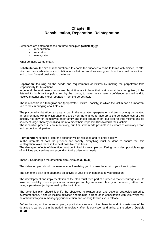# **Chapter III Rehabilitation, Reparation, Reintegration**

Sentences are enforced based on three principles **(Article 9(2))**:

- rehabilitation
- reparation
- reintegration.

What do these words mean?

**Rehabilitation**: the aim of rehabilitation is to enable the prisoner to come to terms with himself, to offer him the chance while in prison to talk about what he has done wrong and how that could be avoided, and to look forward positively to the future.

**Reparation**: focusing on the needs and requirements of victims by making the perpetrator take responsibility for his actions.

In general, the main needs expressed by victims are to have their status as victims recognised, to be listened to, both by the police and by the courts, to have their shaken confidence restored and to receive material and moral reparation from the perpetrator.

The relationship is a triangular one (perpetrator - victim - society) in which the victim has an important role to play in bringing about closure.

The prison administration can play its part in the reparation (perpetrator - victim - society) by creating an environment within which prisoners are given the chance to face up to the consequences of their actions, not only for themselves, their family and those around them, but also for their victims and for society at large, thereby enabling them to meet their responsibilities towards their victims.

The reparation process is not mandatory, but it must be made possible in a climate of voluntary action and respect for all parties.

**Reintegration**: sooner or later the prisoner will be released and re-enter society.

In the interests of both the prisoner and society, everything must be done to ensure that this reintegration takes place in the best possible conditions.

The damaging effects of detention must be limited, for example by offering the widest possible range of activities and services corresponding to the prisoner's needs.

These 3 Rs underpin the detention plan **(Articles 35 to 40)**.

The detention plan should be seen as a tool enabling you to make the most of your time in prison.

The aim of the plan is to adapt the objectives of your prison sentence to your situation.

The development and implementation of the plan must form part of a process that encourages you to take responsibility whilst in prison and allows you to play an active role in your detention, rather than being a passive object governed by the institution.

The detention plan should identify the obstacles to reintegration and develop strategies aimed to overcome these. It should include activities and training, agreed on in consultation with you, which will be of benefit to you in managing your detention and working towards your release.

Before drawing up the detention plan, a preliminary survey of the character and circumstances of the detainee is carried out in the period immediately after his conviction and arrival at the prison. **(Article 35(1))**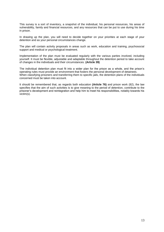This survey is a sort of inventory, a snapshot of the individual, his personal resources, his areas of vulnerability, family and financial resources, and any resources that can be put to use during his time in prison.

In drawing up the plan, you will need to decide together on your priorities at each stage of your detention and as your personal circumstances change.

The plan will contain activity proposals in areas such as work, education and training, psychosocial support and medical or psychological treatment.

Implementation of the plan must be evaluated regularly with the various parties involved, including yourself. It must be flexible, adjustable and adaptable throughout the detention period to take account of changes in the individuals and their circumstances. **(Article 39)**

The individual detention plan must fit into a wider plan for the prison as a whole, and the prison's operating rules must provide an environment that fosters the personal development of detainees. When classifying prisoners and transferring them to specific jails, the detention plans of the individuals concerned must be taken into account.

It should be remembered that, as regards both education **(Article 76)** and prison work (82), the law specifies that the aim of such activities is to give meaning to the period of detention, contribute to the prisoner's development and reintegration and help him to meet his responsibilities, notably towards his victim(s).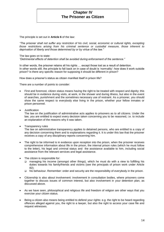# **Chapter IV The Prisoner as Citizen**

The principle is set out in **Article 6** of the law:

*"The prisoner shall not suffer any restriction of his civil, social, economic or cultural rights, excepting those restrictions arising from his criminal sentence or custodial measure, those inherent to deprivation of liberty and those determined by or by virtue of the law."*

The law goes on to state: *"Detrimental effects of detention shall be avoided during enforcement of the sentence."*

In other words, the prisoner retains all his rights ... except those lost as a result of detention. In other words still, the principle to fall back on in case of doubt is 'normality': how does it work outside prison? Is there any specific reason for supposing it should be different in prison?

How does a prisoner's status as citizen manifest itself in prison life?

There are a number of points to consider:

- First and foremost, citizen status means having the right to be treated with respect and dignity; this should be in evidence during visits, at work, in the shower and during illness, but also in the event of searches, punishment and the sometimes necessary use of restraint. As a prisoner, you should show the same respect to everybody else living in the prison, whether your fellow inmates or prison personnel.
- Justification

The law on the justification of administrative acts applies to prisoners as to all citizens. Under the law, you are entitled to expect every decision taken concerning you to be reasoned, i.e. to include an explanation of the reasons why it was taken.

Transparency rules

The law on administrative transparency applies to detained persons, who are entitled to a copy of any decision concerning them and to explanations regarding it. It is under this law that the prisoner receives a copy of any disciplinary reports concerning him.

- The right to be informed is in evidence upon reception into the prison, when the prisoner receives comprehensive information about life in the prison, the internal prison rules (which he must follow to the letter), his legal and criminal status and the assistance available to him, including social assistance from the relevant services and legal assistance.
- The citizen is responsible for:
	- managing his income (amongst other things), which he must do with a view to fulfilling his duties towards his family/friends and victims (see the principals of prison work under Article 82);
	- his behaviour. Remember: order and security are the responsibility of everybody in the prison.
- Citizenship is also about involvement: involvement in consultation bodies, where prisoners come together to discuss issues of common interest, but also involvement in your detention plan, as discussed above.
- As we have seen, philosophical and religious life and freedom of religion are other ways that you exercise your citizen status.
- Being a citizen also means being entitled to defend your rights: e.g. the right to be heard regarding offences alleged against you, the right to a lawyer, but also the right to access your case file and request witnesses.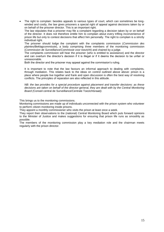The right to complain: besides appeals to various types of court, which can sometimes be longwinded and costly, the law gives prisoners a special right of appeal against decisions taken by or on behalf of the prisoner director. This is an important right.

The law stipulates that a prisoner may file a complaint regarding a decision taken by or on behalf of the director. It does not therefore entitle him to complain about every trifling inconvenience of prison life but only to contest decisions that affect him personally. The right to complain is a strictly individual right.

The prisoner should lodge the complaint with the complaints commission (*Commission des plaintes/Beklagcommissie*), a body comprising three members of the monitoring commission (*Commission de Surveillance/Commissie voor toezicht*) and chaired by a judge.

The complaints commission will hear the prisoner (who is entitled to assistance) and the director and can overturn the director's decision if it is illegal or if it deems the decision to be unfair or unreasonable.

Both the director and the prisoner may appeal against the commission's ruling.

It is important to note that the law favours an informal approach to dealing with complaints, through mediation. This relates back to the ideas on control outlined above above: prison is a place where people live together and frank and open discussion is often the best way of resolving conflicts. The principles of reparation are also reflected in this attitude.

*NB: the law provides for a special procedure against placement and transfer decisions: as these decisions are taken on behalf of the director-general, they are dealt with by the Central Monitoring Board (*Conseil central de Surveillance/Centrale Toezichtsraad*)*.

This brings us to the monitoring commissions.

Monitoring commissions are made up of individuals unconnected with the prison system who volunteer to perform citizen monitoring inside prisons.

They appoint a monthly commissioner who visits the prison at least once a week.

They report their observations to the (national) Central Monitoring Board which puts forward opinions to the Minister of Justice and makes suggestions for ensuring that prison life runs as smoothly as possible.

The members of the monitoring commission play a key mediation role and the chairman meets regularly with the prison director.